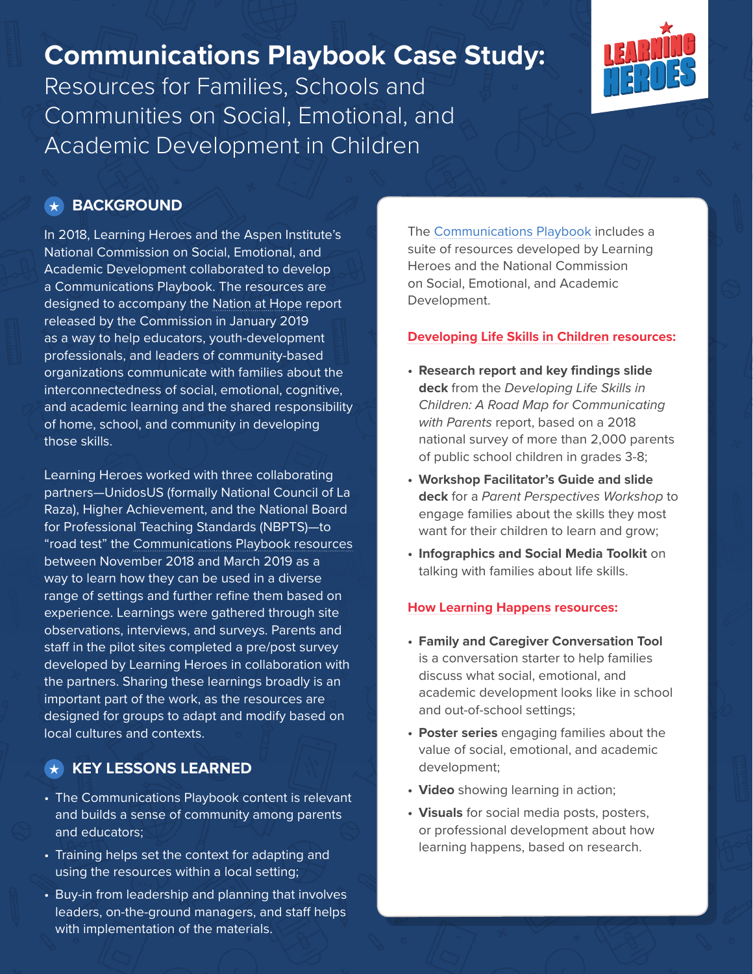## **Communications Playbook Case Study:**

Resources for Families, Schools and Communities on Social, Emotional, and Academic Development in Children



#### **BACKGROUND**

In 2018, Learning Heroes and the Aspen Institute's National Commission on Social, Emotional, and Academic Development collaborated to develop a Communications Playbook. The resources are designed to accompany the [Nation at Hope](http://nationathope.org/) report released by the Commission in January 2019 as a way to help educators, youth-development professionals, and leaders of community-based organizations communicate with families about the interconnectedness of social, emotional, cognitive, and academic learning and the shared responsibility of home, school, and community in developing those skills.

Learning Heroes worked with three collaborating partners—UnidosUS (formally National Council of La Raza), Higher Achievement, and the National Board for Professional Teaching Standards (NBPTS)—to "road test" the [Communications Playbook resources](http://nationathope.org/communication-tools/) between November 2018 and March 2019 as a way to learn how they can be used in a diverse range of settings and further refine them based on experience. Learnings were gathered through site observations, interviews, and surveys. Parents and staff in the pilot sites completed a pre/post survey developed by Learning Heroes in collaboration with the partners. Sharing these learnings broadly is an important part of the work, as the resources are designed for groups to adapt and modify based on local cultures and contexts.

#### **KEY LESSONS LEARNED**

- The Communications Playbook content is relevant and builds a sense of community among parents and educators;
- Training helps set the context for adapting and using the resources within a local setting;
- Buy-in from leadership and planning that involves leaders, on-the-ground managers, and staff helps with implementation of the materials.

The [Communications Playbook](http://nationathope.org/communication-tools/) includes a suite of resources developed by Learning Heroes and the National Commission on Social, Emotional, and Academic Development.

#### **[Developing Life Skills in Children](http://nationathope.org/communication-tools/) resources:**

- **• Research report and key findings slide deck** from the *Developing Life Skills in Children: A Road Map for Communicating with Parents* report, based on a 2018 national survey of more than 2,000 parents of public school children in grades 3-8;
- **• Workshop Facilitator's Guide and slide deck** for a *Parent Perspectives Workshop* to engage families about the skills they most want for their children to learn and grow;
- **• Infographics and Social Media Toolkit** on talking with families about life skills.

#### **[How Learning Happens](http://nationathope.org/communication-tools/) resources:**

- **• Family and Caregiver Conversation Tool**  is a conversation starter to help families discuss what social, emotional, and academic development looks like in school and out-of-school settings;
- **• Poster series** engaging families about the value of social, emotional, and academic development;
- **• Video** showing learning in action;
- **• Visuals** for social media posts, posters, or professional development about how learning happens, based on research.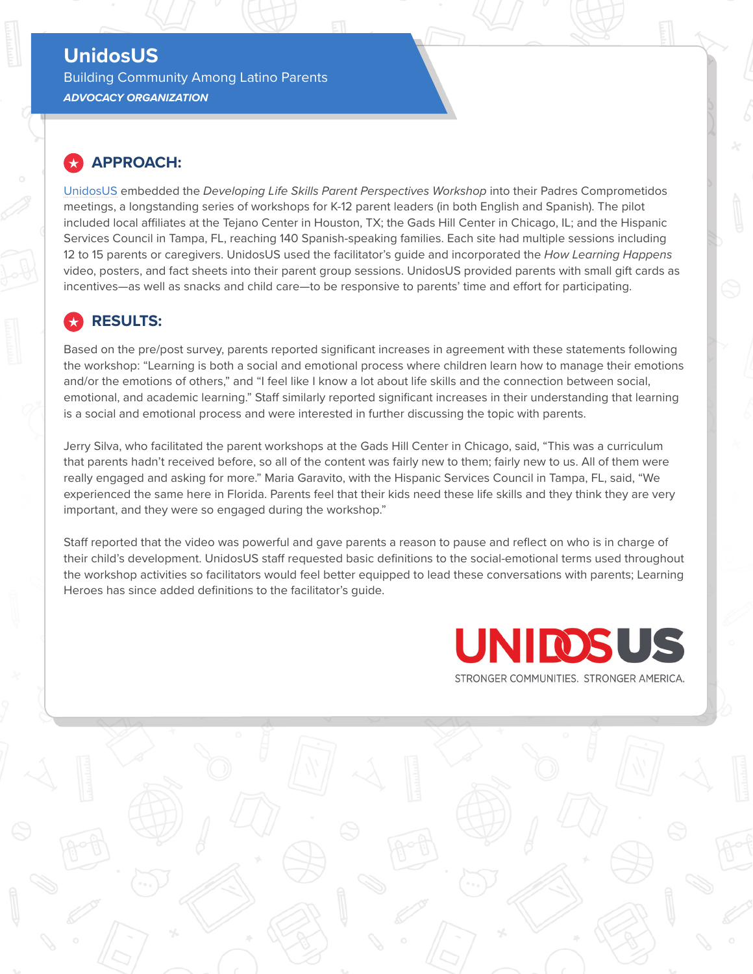#### **[UnidosUS](https://www.unidosus.org/)**

Building Community Among Latino Parents *ADVOCACY ORGANIZATION*

#### **APPROACH:**

[UnidosUS](https://www.unidosus.org/) embedded the *Developing Life Skills Parent Perspectives Workshop* into their Padres Comprometidos meetings, a longstanding series of workshops for K-12 parent leaders (in both English and Spanish). The pilot included local affiliates at the Tejano Center in Houston, TX; the Gads Hill Center in Chicago, IL; and the Hispanic Services Council in Tampa, FL, reaching 140 Spanish-speaking families. Each site had multiple sessions including 12 to 15 parents or caregivers. UnidosUS used the facilitator's guide and incorporated the *How Learning Happens* video, posters, and fact sheets into their parent group sessions. UnidosUS provided parents with small gift cards as incentives—as well as snacks and child care—to be responsive to parents' time and effort for participating.

#### **RESULTS:**

Based on the pre/post survey, parents reported significant increases in agreement with these statements following the workshop: "Learning is both a social and emotional process where children learn how to manage their emotions and/or the emotions of others," and "I feel like I know a lot about life skills and the connection between social, emotional, and academic learning." Staff similarly reported significant increases in their understanding that learning is a social and emotional process and were interested in further discussing the topic with parents.

Jerry Silva, who facilitated the parent workshops at the Gads Hill Center in Chicago, said, "This was a curriculum that parents hadn't received before, so all of the content was fairly new to them; fairly new to us. All of them were really engaged and asking for more." Maria Garavito, with the Hispanic Services Council in Tampa, FL, said, "We experienced the same here in Florida. Parents feel that their kids need these life skills and they think they are very important, and they were so engaged during the workshop."

Staff reported that the video was powerful and gave parents a reason to pause and reflect on who is in charge of their child's development. UnidosUS staff requested basic definitions to the social-emotional terms used throughout the workshop activities so facilitators would feel better equipped to lead these conversations with parents; Learning Heroes has since added definitions to the facilitator's guide.

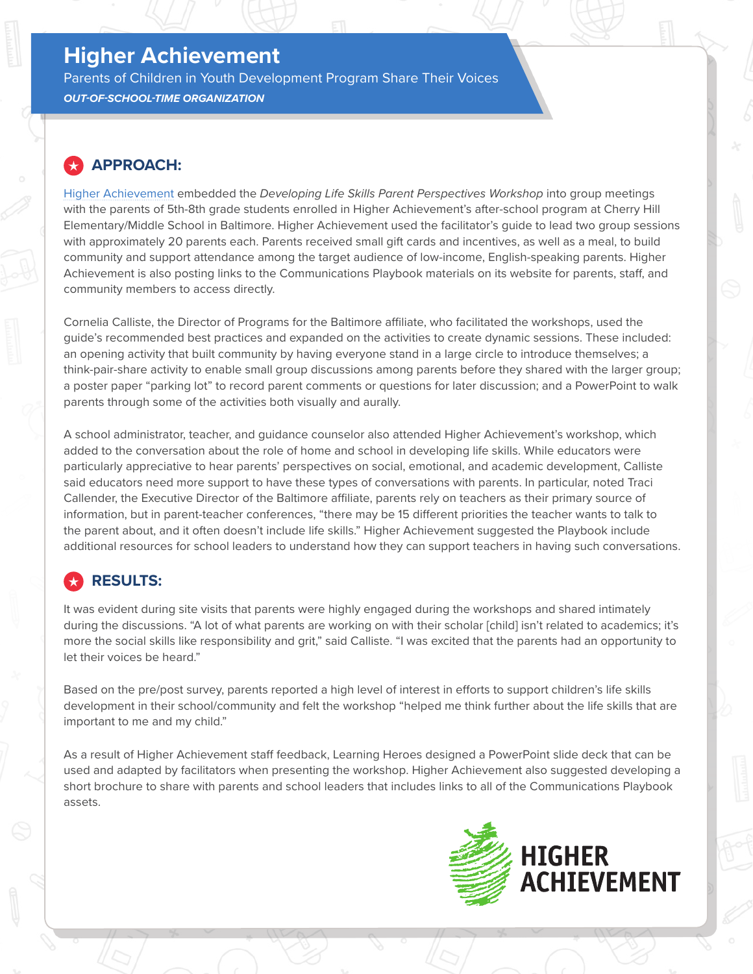## **[Higher Achievement](https://higherachievement.org/)**

Parents of Children in Youth Development Program Share Their Voices *OUT-OF-SCHOOL-TIME ORGANIZATION*

#### **APPROACH:**

[Higher Achievement](https://higherachievement.org/) embedded the *Developing Life Skills Parent Perspectives Workshop* into group meetings with the parents of 5th-8th grade students enrolled in Higher Achievement's after-school program at Cherry Hill Elementary/Middle School in Baltimore. Higher Achievement used the facilitator's guide to lead two group sessions with approximately 20 parents each. Parents received small gift cards and incentives, as well as a meal, to build community and support attendance among the target audience of low-income, English-speaking parents. Higher Achievement is also posting links to the Communications Playbook materials on its website for parents, staff, and community members to access directly.

Cornelia Calliste, the Director of Programs for the Baltimore affiliate, who facilitated the workshops, used the guide's recommended best practices and expanded on the activities to create dynamic sessions. These included: an opening activity that built community by having everyone stand in a large circle to introduce themselves; a think-pair-share activity to enable small group discussions among parents before they shared with the larger group; a poster paper "parking lot" to record parent comments or questions for later discussion; and a PowerPoint to walk parents through some of the activities both visually and aurally.

A school administrator, teacher, and guidance counselor also attended Higher Achievement's workshop, which added to the conversation about the role of home and school in developing life skills. While educators were particularly appreciative to hear parents' perspectives on social, emotional, and academic development, Calliste said educators need more support to have these types of conversations with parents. In particular, noted Traci Callender, the Executive Director of the Baltimore affiliate, parents rely on teachers as their primary source of information, but in parent-teacher conferences, "there may be 15 different priorities the teacher wants to talk to the parent about, and it often doesn't include life skills." Higher Achievement suggested the Playbook include additional resources for school leaders to understand how they can support teachers in having such conversations.

## **RESULTS:**

It was evident during site visits that parents were highly engaged during the workshops and shared intimately during the discussions. "A lot of what parents are working on with their scholar [child] isn't related to academics; it's more the social skills like responsibility and grit," said Calliste. "I was excited that the parents had an opportunity to let their voices be heard."

Based on the pre/post survey, parents reported a high level of interest in efforts to support children's life skills development in their school/community and felt the workshop "helped me think further about the life skills that are important to me and my child."

As a result of Higher Achievement staff feedback, Learning Heroes designed a PowerPoint slide deck that can be used and adapted by facilitators when presenting the workshop. Higher Achievement also suggested developing a short brochure to share with parents and school leaders that includes links to all of the Communications Playbook assets.

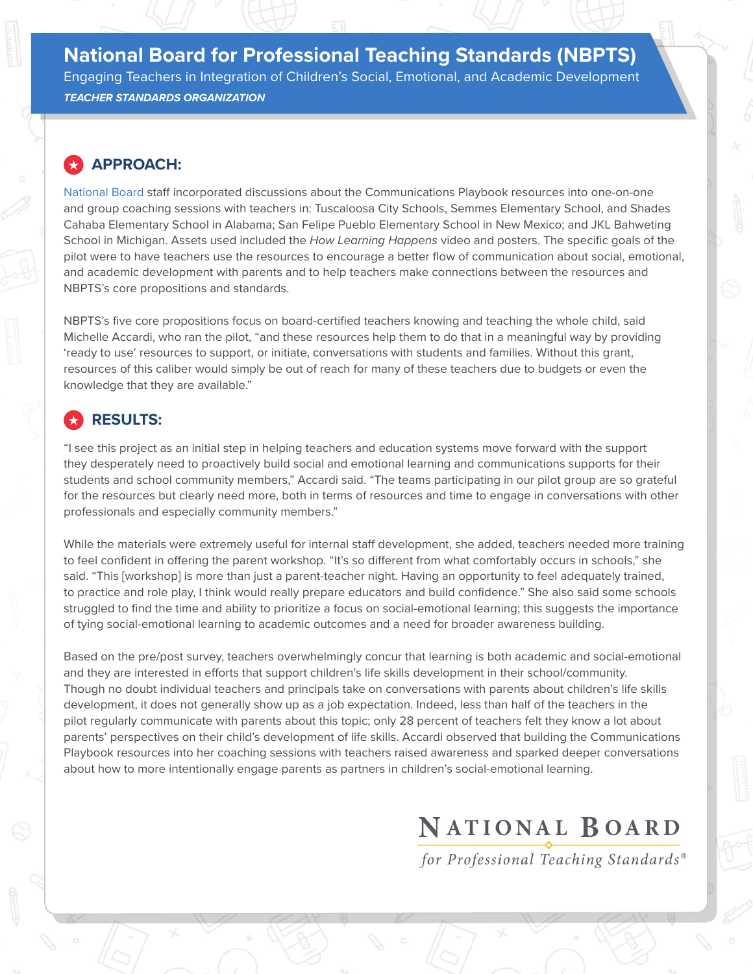## **[National Board for Professional Teaching Standards \(NBPTS\)](https://www.nbpts.org/)** Engaging Teachers in Integration of Children's Social, Emotional, and Academic Development

*TEACHER STANDARDS ORGANIZATION*

#### **APPROACH:**

[National Board](https://www.nbpts.org/) staff incorporated discussions about the Communications Playbook resources into one-on-one and group coaching sessions with teachers in: Tuscaloosa City Schools, Semmes Elementary School, and Shades Cahaba Elementary School in Alabama; San Felipe Pueblo Elementary School in New Mexico; and JKL Bahweting School in Michigan. Assets used included the *How Learning Happens* video and posters. The specific goals of the pilot were to have teachers use the resources to encourage a better flow of communication about social, emotional, and academic development with parents and to help teachers make connections between the resources and NBPTS's core propositions and standards.

NBPTS's five core propositions focus on board-certified teachers knowing and teaching the whole child, said Michelle Accardi, who ran the pilot, "and these resources help them to do that in a meaningful way by providing 'ready to use' resources to support, or initiate, conversations with students and families. Without this grant, resources of this caliber would simply be out of reach for many of these teachers due to budgets or even the knowledge that they are available."

### **RESULTS:**

"I see this project as an initial step in helping teachers and education systems move forward with the support they desperately need to proactively build social and emotional learning and communications supports for their students and school community members," Accardi said. "The teams participating in our pilot group are so grateful for the resources but clearly need more, both in terms of resources and time to engage in conversations with other professionals and especially community members."

While the materials were extremely useful for internal staff development, she added, teachers needed more training to feel confident in offering the parent workshop. "It's so different from what comfortably occurs in schools," she said. "This [workshop] is more than just a parent-teacher night. Having an opportunity to feel adequately trained, to practice and role play, I think would really prepare educators and build confidence." She also said some schools struggled to find the time and ability to prioritize a focus on social-emotional learning; this suggests the importance of tying social-emotional learning to academic outcomes and a need for broader awareness building.

Based on the pre/post survey, teachers overwhelmingly concur that learning is both academic and social-emotional and they are interested in efforts that support children's life skills development in their school/community. Though no doubt individual teachers and principals take on conversations with parents about children's life skills development, it does not generally show up as a job expectation. Indeed, less than half of the teachers in the pilot regularly communicate with parents about this topic; only 28 percent of teachers felt they know a lot about parents' perspectives on their child's development of life skills. Accardi observed that building the Communications Playbook resources into her coaching sessions with teachers raised awareness and sparked deeper conversations about how to more intentionally engage parents as partners in children's social-emotional learning.

# NATIONAL BOARD

for Professional Teaching Standards®